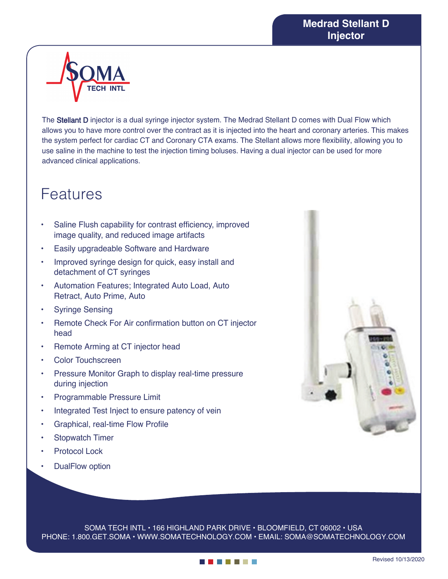

The Stellant D injector is a dual syringe injector system. The Medrad Stellant D comes with Dual Flow which allows you to have more control over the contract as it is injected into the heart and coronary arteries. This makes the system perfect for cardiac CT and Coronary CTA exams. The Stellant allows more flexibility, allowing you to use saline in the machine to test the injection timing boluses. Having a dual injector can be used for more advanced clinical applications.

## Features

- Saline Flush capability for contrast efficiency, improved image quality, and reduced image artifacts
- Easily upgradeable Software and Hardware
- Improved syringe design for quick, easy install and detachment of CT syringes
- Automation Features; Integrated Auto Load, Auto Retract, Auto Prime, Auto
- **Syringe Sensing**
- Remote Check For Air confirmation button on CT injector head
- Remote Arming at CT injector head
- Color Touchscreen
- Pressure Monitor Graph to display real-time pressure during injection
- Programmable Pressure Limit
- Integrated Test Inject to ensure patency of vein
- Graphical, real-time Flow Profile
- Stopwatch Timer
- **Protocol Lock**
- DualFlow option



SOMA TECH INTL • 166 HIGHLAND PARK DRIVE • BLOOMFIELD, CT 06002 • USA PHONE: 1.800.GET.SOMA • WWW.SOMATECHNOLOGY.COM • EMAIL: SOMA@SOMATECHNOLOGY.COM